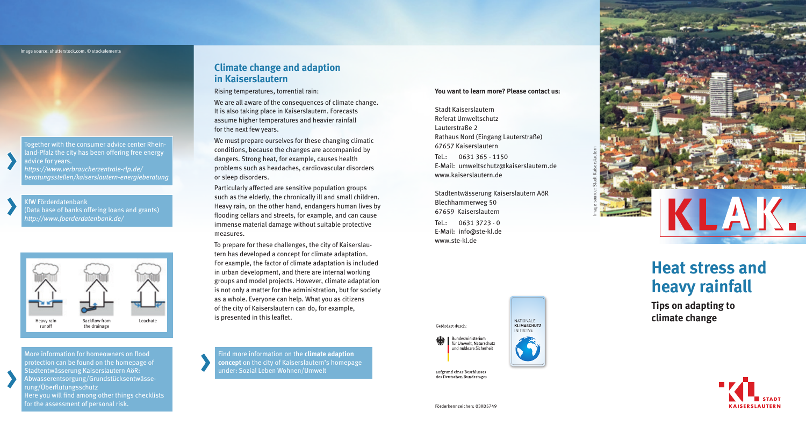Image source: shutterstock.com, © stockelements

Together with the consumer advice center Rhein land-Pfalz the city has been offering free energy advice for years. *https://www.verbraucherzentrale-rlp.de/ beratungsstellen/kaiserslautern-energieberatung*

KfW Förderdatenbank (Data base of banks offering loans and grants) *http://www.foerderdatenbank.de/*



More information for homeowners on flood protection can be found on the homepage of Stadtentwässerung Kaiserslautern AöR: Abwasserentsorgung/Grundstücksentwässe rung/Überflutungsschutz Here you will find among other things checklists for the assessment of personal risk.

#### **Climate change and adaption in Kaiserslautern**

Rising temperatures, torrential rain:

We are all aware of the consequences of climate change. It is also taking place in Kaiserslautern. Forecasts assume higher temperatures and heavier rainfall for the next few years.

We must prepare ourselves for these changing climatic conditions, because the changes are accompanied by dangers. Strong heat, for example, causes health problems such as headaches, cardiovascular disorders or sleep disorders.

Particularly affected are sensitive population groups such as the elderly, the chronically ill and small children. Heavy rain, on the other hand, endangers human lives by flooding cellars and streets, for example, and can cause immense material damage without suitable protective measures.

To prepare for these challenges, the city of Kaiserslau tern has developed a concept for climate adaptation. For example, the factor of climate adaptation is included in urban development, and there are internal working groups and model projects. However, climate adaptation is not only a matter for the administration, but for society as a whole. Everyone can help. What you as citizens of the city of Kaiserslautern can do, for example, is presented in this leaflet.

Find more information on the **climate adaption concept** on the city of Kaiserslautern's homepage under: Sozial Leben Wohnen/Umwelt

#### **You want to learn more? Please contact us:**

Stadt Kaiserslautern Referat Umweltschutz Lauterstraße 2 Rathaus Nord (Eingang Lauterstraße) 67657 Kaiserslautern

Tel.: 0631 365 - 1150 E-Mail: umweltschutz@kaiserslautern.de www.kaiserslautern.de

Stadtentwässerung Kaiserslautern AöR Blechhammerweg 50 67659 Kaiserslautern Tel.: 0631 3723 - 0 E-Mail: info@ste-kl.de www.ste-kl.de



aufgrund eines Beschlusses des Deutschen Bundestages



# **Heat stress and heavy rainfall**

**Tips on adapting to climate change**